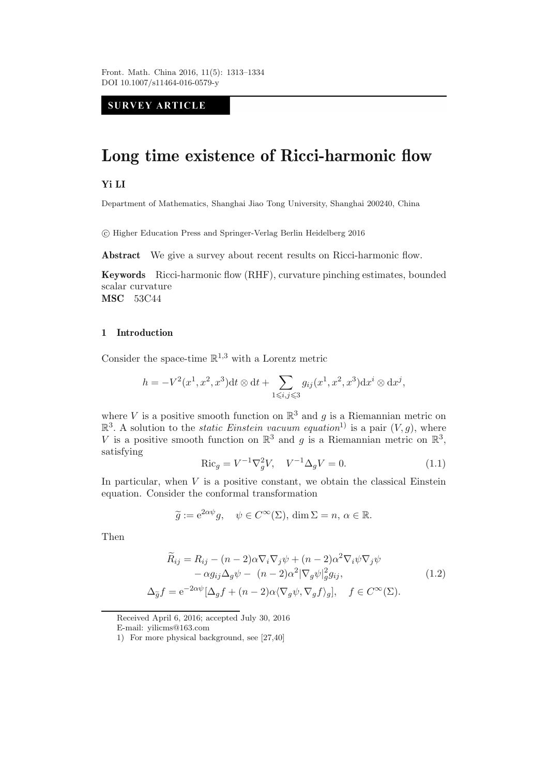# **SURVEY ARTICLE**

# **Long time existence of Ricci-harmonic flow**

## **Yi LI**

Department of Mathematics, Shanghai Jiao Tong University, Shanghai 200240, China

-c Higher Education Press and Springer-Verlag Berlin Heidelberg 2016

**Abstract** We give a survey about recent results on Ricci-harmonic flow.

**Keywords** Ricci-harmonic flow (RHF), curvature pinching estimates, bounded scalar curvature **MSC** 53C44

#### **1 Introduction**

Consider the space-time  $\mathbb{R}^{1,3}$  with a Lorentz metric

$$
h = -V^{2}(x^{1}, x^{2}, x^{3})dt \otimes dt + \sum_{1 \leq i, j \leq 3} g_{ij}(x^{1}, x^{2}, x^{3})dx^{i} \otimes dx^{j},
$$

where V is a positive smooth function on  $\mathbb{R}^3$  and g is a Riemannian metric on  $\mathbb{R}^3$ . A solution to the *static Einstein vacuum equation*<sup>1)</sup> is a pair  $(V, g)$ , where <br>*V* is a positive smooth function on  $\mathbb{R}^3$  and *g* is a Biemannian metric on  $\mathbb{R}^3$ V is a positive smooth function on  $\mathbb{R}^3$  and g is a Riemannian metric on  $\mathbb{R}^3$ , satisfying

$$
\text{Ric}_g = V^{-1} \nabla_g^2 V, \quad V^{-1} \Delta_g V = 0. \tag{1.1}
$$

In particular, when  $V$  is a positive constant, we obtain the classical Einstein equation. Consider the conformal transformation

$$
\widetilde{g} := e^{2\alpha \psi} g, \quad \psi \in C^{\infty}(\Sigma), \dim \Sigma = n, \alpha \in \mathbb{R}.
$$

Then

$$
\widetilde{R}_{ij} = R_{ij} - (n-2)\alpha \nabla_i \nabla_j \psi + (n-2)\alpha^2 \nabla_i \psi \nabla_j \psi \n- \alpha g_{ij} \Delta_g \psi - (n-2)\alpha^2 |\nabla_g \psi|_g^2 g_{ij},
$$
\n
$$
\Delta_{\widetilde{g}} f = e^{-2\alpha \psi} [\Delta_g f + (n-2)\alpha \langle \nabla_g \psi, \nabla_g f \rangle_g], \quad f \in C^\infty(\Sigma).
$$
\n(1.2)

Received April 6, 2016; accepted July 30, 2016

E-mail: yilicms@163.com

<sup>1)</sup> For more physical background, see [27,40]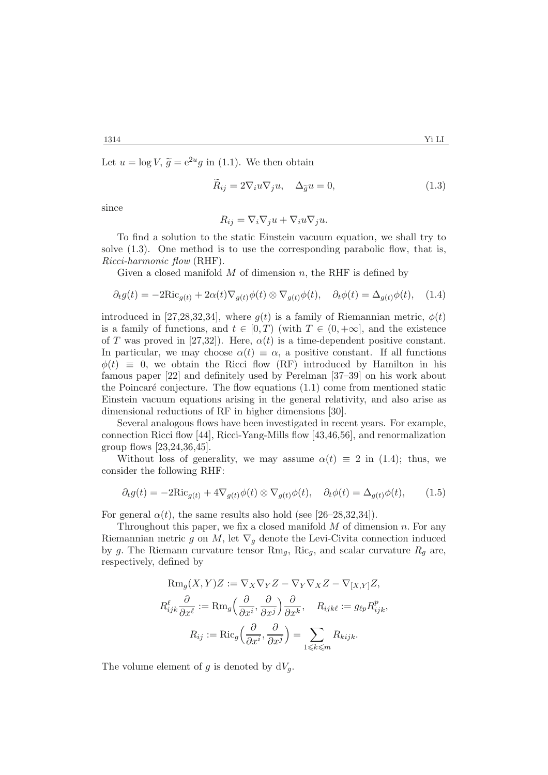Let  $u = \log V$ ,  $\widetilde{g} = e^{2u}g$  in (1.1). We then obtain

$$
\bar{R}_{ij} = 2\nabla_i u \nabla_j u, \quad \Delta_{\tilde{g}} u = 0,
$$
\n(1.3)

since

$$
R_{ij} = \nabla_i \nabla_j u + \nabla_i u \nabla_j u.
$$

To find a solution to the static Einstein vacuum equation, we shall try to solve  $(1.3)$ . One method is to use the corresponding parabolic flow, that is, *Ricci-harmonic flow* (RHF).

Given a closed manifold  $M$  of dimension  $n$ , the RHF is defined by

$$
\partial_t g(t) = -2\mathrm{Ric}_{g(t)} + 2\alpha(t)\nabla_{g(t)}\phi(t) \otimes \nabla_{g(t)}\phi(t), \quad \partial_t \phi(t) = \Delta_{g(t)}\phi(t), \quad (1.4)
$$

introduced in [27,28,32,34], where  $g(t)$  is a family of Riemannian metric,  $\phi(t)$ is a family of functions, and  $t \in [0, T)$  (with  $T \in (0, +\infty]$ , and the existence of T was proved in [27,32]). Here,  $\alpha(t)$  is a time-dependent positive constant. In particular, we may choose  $\alpha(t) \equiv \alpha$ , a positive constant. If all functions  $\phi(t) \equiv 0$ , we obtain the Ricci flow (RF) introduced by Hamilton in his famous paper [22] and definitely used by Perelman [37–39] on his work about the Poincaré conjecture. The flow equations  $(1.1)$  come from mentioned static Einstein vacuum equations arising in the general relativity, and also arise as dimensional reductions of RF in higher dimensions [30].

Several analogous flows have been investigated in recent years. For example, connection Ricci flow [44], Ricci-Yang-Mills flow [43,46,56], and renormalization group flows [23,24,36,45].

Without loss of generality, we may assume  $\alpha(t) \equiv 2$  in (1.4); thus, we consider the following RHF:

$$
\partial_t g(t) = -2\mathrm{Ric}_{g(t)} + 4\nabla_{g(t)}\phi(t) \otimes \nabla_{g(t)}\phi(t), \quad \partial_t \phi(t) = \Delta_{g(t)}\phi(t), \qquad (1.5)
$$

For general  $\alpha(t)$ , the same results also hold (see [26–28,32,34]).

Throughout this paper, we fix a closed manifold  $M$  of dimension  $n$ . For any Riemannian metric g on M, let  $\nabla_q$  denote the Levi-Civita connection induced by g. The Riemann curvature tensor  $\text{Rm}_g$ ,  $\text{Ric}_g$ , and scalar curvature  $R_g$  are, respectively, defined by

$$
\operatorname{Rm}_g(X, Y)Z := \nabla_X \nabla_Y Z - \nabla_Y \nabla_X Z - \nabla_{[X,Y]} Z,
$$
  

$$
R_{ijk}^{\ell} \frac{\partial}{\partial x^{\ell}} := \operatorname{Rm}_g \left( \frac{\partial}{\partial x^i}, \frac{\partial}{\partial x^j} \right) \frac{\partial}{\partial x^k}, \quad R_{ijk\ell} := g_{\ell p} R_{ijk}^p,
$$
  

$$
R_{ij} := \operatorname{Ric}_g \left( \frac{\partial}{\partial x^i}, \frac{\partial}{\partial x^j} \right) = \sum_{1 \le k \le m} R_{kijk}.
$$

The volume element of g is denoted by  $dV_g$ .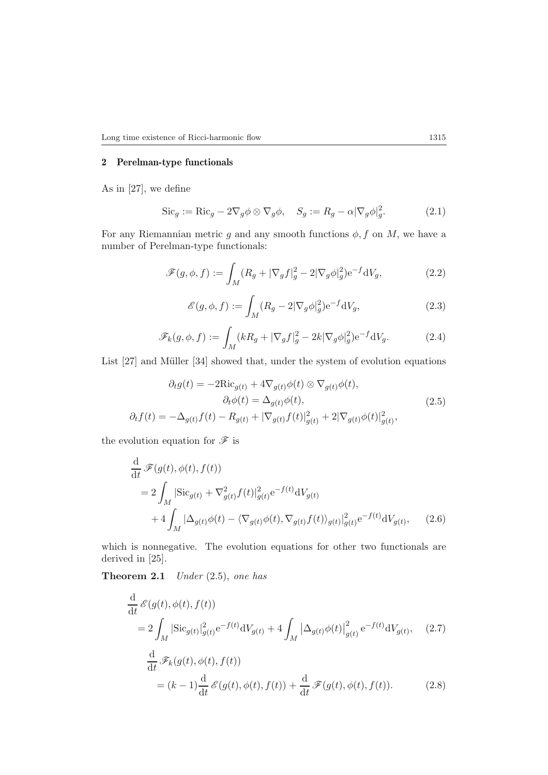#### **2 Perelman-type functionals**

As in [27], we define

$$
\operatorname{Sic}_g := \operatorname{Ric}_g - 2\nabla_g \phi \otimes \nabla_g \phi, \quad S_g := R_g - \alpha |\nabla_g \phi|_g^2. \tag{2.1}
$$

For any Riemannian metric g and any smooth functions  $\phi$ , f on M, we have a number of Perelman-type functionals:

$$
\mathscr{F}(g,\phi,f) := \int_M (R_g + |\nabla_g f|_g^2 - 2|\nabla_g \phi|_g^2) e^{-f} dV_g,
$$
\n(2.2)

$$
\mathcal{E}(g,\phi,f) := \int_M (R_g - 2|\nabla_g \phi|_g^2) e^{-f} dV_g,
$$
\n(2.3)

$$
\mathscr{F}_k(g,\phi,f) := \int_M (kR_g + |\nabla_g f|_g^2 - 2k|\nabla_g \phi|_g^2) e^{-f} dV_g.
$$
 (2.4)

List [27] and Müller [34] showed that, under the system of evolution equations

$$
\partial_t g(t) = -2\text{Ric}_{g(t)} + 4\nabla_{g(t)}\phi(t) \otimes \nabla_{g(t)}\phi(t),
$$

$$
\partial_t \phi(t) = \Delta_{g(t)}\phi(t),
$$

$$
\partial_t f(t) = -\Delta_{g(t)}f(t) - R_{g(t)} + |\nabla_{g(t)}f(t)|_{g(t)}^2 + 2|\nabla_{g(t)}\phi(t)|_{g(t)}^2,
$$
(2.5)

the evolution equation for  ${\mathscr{F}}$  is

$$
\frac{\mathrm{d}}{\mathrm{d}t} \mathscr{F}(g(t), \phi(t), f(t))
$$
\n
$$
= 2 \int_M |\text{Sic}_{g(t)} + \nabla_{g(t)}^2 f(t)|_{g(t)}^2 e^{-f(t)} \mathrm{d}V_{g(t)} + 4 \int_M |\Delta_{g(t)} \phi(t) - \langle \nabla_{g(t)} \phi(t), \nabla_{g(t)} f(t) \rangle_{g(t)}|_{g(t)}^2 e^{-f(t)} \mathrm{d}V_{g(t)}, \quad (2.6)
$$

which is nonnegative. The evolution equations for other two functionals are derived in [25].

**Theorem 2.1** *Under* (2.5), *one has*

$$
\frac{\mathrm{d}}{\mathrm{d}t} \mathcal{E}(g(t), \phi(t), f(t))
$$
\n
$$
= 2 \int_M |\text{Sic}_{g(t)}|_{g(t)}^2 e^{-f(t)} \mathrm{d}V_{g(t)} + 4 \int_M |\Delta_{g(t)} \phi(t)|_{g(t)}^2 e^{-f(t)} \mathrm{d}V_{g(t)}, \quad (2.7)
$$
\n
$$
\frac{\mathrm{d}}{\mathrm{d}t} \mathcal{F}_k(g(t), \phi(t), f(t))
$$
\n
$$
= (k-1) \frac{\mathrm{d}}{\mathrm{d}t} \mathcal{E}(g(t), \phi(t), f(t)) + \frac{\mathrm{d}}{\mathrm{d}t} \mathcal{F}(g(t), \phi(t), f(t)). \quad (2.8)
$$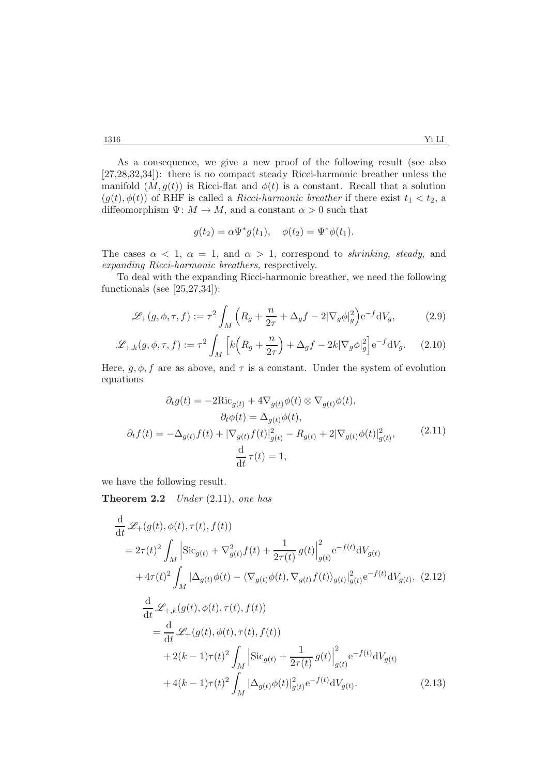As a consequence, we give a new proof of the following result (see also [27,28,32,34]): there is no compact steady Ricci-harmonic breather unless the manifold  $(M, g(t))$  is Ricci-flat and  $\phi(t)$  is a constant. Recall that a solution  $(g(t), \phi(t))$  of RHF is called a *Ricci-harmonic breather* if there exist  $t_1 < t_2$ , a diffeomorphism  $\Psi: M \to M$ , and a constant  $\alpha > 0$  such that

$$
g(t_2) = \alpha \Psi^* g(t_1), \quad \phi(t_2) = \Psi^* \phi(t_1).
$$

The cases  $\alpha < 1$ ,  $\alpha = 1$ , and  $\alpha > 1$ , correspond to *shrinking*, *steady*, and *expanding Ricci-harmonic breathers,* respectively.

To deal with the expanding Ricci-harmonic breather, we need the following functionals (see [25,27,34]):

$$
\mathcal{L}_+(g,\phi,\tau,f) := \tau^2 \int_M \left( R_g + \frac{n}{2\tau} + \Delta_g f - 2|\nabla_g \phi|_g^2 \right) e^{-f} dV_g, \tag{2.9}
$$

$$
\mathcal{L}_{+,k}(g,\phi,\tau,f) := \tau^2 \int_M \left[ k \left( R_g + \frac{n}{2\tau} \right) + \Delta_g f - 2k |\nabla_g \phi|_g^2 \right] e^{-f} dV_g. \tag{2.10}
$$

Here,  $g, \phi, f$  are as above, and  $\tau$  is a constant. Under the system of evolution equations equations

$$
\partial_t g(t) = -2\text{Ric}_{g(t)} + 4\nabla_{g(t)}\phi(t) \otimes \nabla_{g(t)}\phi(t),
$$

$$
\partial_t \phi(t) = \Delta_{g(t)}\phi(t),
$$

$$
\partial_t f(t) = -\Delta_{g(t)}f(t) + |\nabla_{g(t)}f(t)|_{g(t)}^2 - R_{g(t)} + 2|\nabla_{g(t)}\phi(t)|_{g(t)}^2, \tag{2.11}
$$

$$
\frac{d}{dt}\tau(t) = 1,
$$

we have the following result.

**Theorem 2.2** *Under* (2.11), *one has*

$$
\frac{d}{dt} \mathcal{L}_{+}(g(t), \phi(t), \tau(t), f(t))
$$
\n
$$
= 2\tau(t)^{2} \int_{M} \left| \mathrm{Sic}_{g(t)} + \nabla_{g(t)}^{2} f(t) + \frac{1}{2\tau(t)} g(t) \right|_{g(t)}^{2} e^{-f(t)} dV_{g(t)}
$$
\n
$$
+ 4\tau(t)^{2} \int_{M} |\Delta_{g(t)}\phi(t) - \langle \nabla_{g(t)}\phi(t), \nabla_{g(t)}f(t) \rangle_{g(t)}|_{g(t)}^{2} e^{-f(t)} dV_{g(t)}, \quad (2.12)
$$
\n
$$
\frac{d}{dt} \mathcal{L}_{+,k}(g(t), \phi(t), \tau(t), f(t))
$$
\n
$$
= \frac{d}{dt} \mathcal{L}_{+}(g(t), \phi(t), \tau(t), f(t))
$$
\n
$$
+ 2(k - 1)\tau(t)^{2} \int_{M} \left| \mathrm{Sic}_{g(t)} + \frac{1}{2\tau(t)} g(t) \right|_{g(t)}^{2} e^{-f(t)} dV_{g(t)}
$$
\n
$$
+ 4(k - 1)\tau(t)^{2} \int_{M} |\Delta_{g(t)}\phi(t)|_{g(t)}^{2} e^{-f(t)} dV_{g(t)}.
$$
\n(2.13)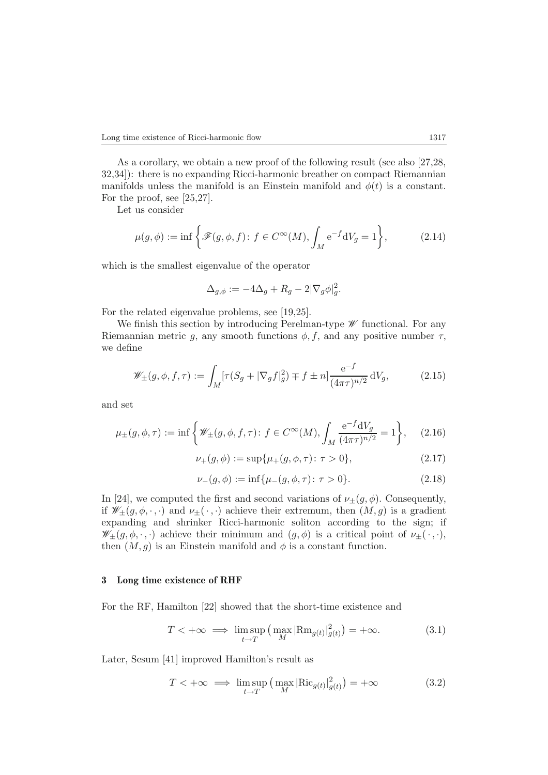As a corollary, we obtain a new proof of the following result (see also [27,28, 32,34]): there is no expanding Ricci-harmonic breather on compact Riemannian manifolds unless the manifold is an Einstein manifold and  $\phi(t)$  is a constant.

For the proof, see [25,27].

Let us consider

$$
\mu(g,\phi) := \inf \left\{ \mathcal{F}(g,\phi,f) \colon f \in C^{\infty}(M), \int_M e^{-f} dV_g = 1 \right\},\tag{2.14}
$$

which is the smallest eigenvalue of the operator

$$
\Delta_{g,\phi} := -4\Delta_g + R_g - 2|\nabla_g \phi|_g^2.
$$

For the related eigenvalue problems, see [19,25].

We finish this section by introducing Perelman-type *W* functional. For any Riemannian metric g, any smooth functions  $\phi$ , f, and any positive number  $\tau$ , we define

$$
\mathscr{W}_{\pm}(g,\phi,f,\tau) := \int_M [\tau(S_g + |\nabla_g f|_g^2) \mp f \pm n] \frac{e^{-f}}{(4\pi\tau)^{n/2}} dV_g, \tag{2.15}
$$

and set

$$
\mu_{\pm}(g,\phi,\tau) := \inf \left\{ \mathscr{W}_{\pm}(g,\phi,f,\tau) : f \in C^{\infty}(M), \int_{M} \frac{e^{-f}dV_{g}}{(4\pi\tau)^{n/2}} = 1 \right\}, \quad (2.16)
$$

$$
\nu_{+}(g,\phi) := \sup\{\mu_{+}(g,\phi,\tau) \colon \tau > 0\},\tag{2.17}
$$

$$
\nu_{-}(g,\phi) := \inf \{ \mu_{-}(g,\phi,\tau) \colon \tau > 0 \}. \tag{2.18}
$$

In [24], we computed the first and second variations of  $\nu_{\pm}(g, \phi)$ . Consequently, if  $\mathscr{W}_{\pm}(g,\phi,\cdot,\cdot)$  and  $\nu_{\pm}(\cdot,\cdot)$  achieve their extremum, then  $(M,g)$  is a gradient expanding and shrinker Ricci-harmonic soliton according to the sign; if  $\mathscr{W}_{\pm}(g,\phi,\cdot,\cdot)$  achieve their minimum and  $(g,\phi)$  is a critical point of  $\nu_{\pm}(\cdot,\cdot),$ then  $(M, g)$  is an Einstein manifold and  $\phi$  is a constant function.

### **3 Long time existence of RHF**

For the RF, Hamilton [22] showed that the short-time existence and

$$
T < +\infty \implies \limsup_{t \to T} \left( \max_{M} |\text{Rm}_{g(t)}|_{g(t)}^2 \right) = +\infty. \tag{3.1}
$$

Later, Sesum [41] improved Hamilton's result as

$$
T < +\infty \implies \limsup_{t \to T} \left( \max_M |\text{Ric}_{g(t)}|_{g(t)}^2 \right) = +\infty \tag{3.2}
$$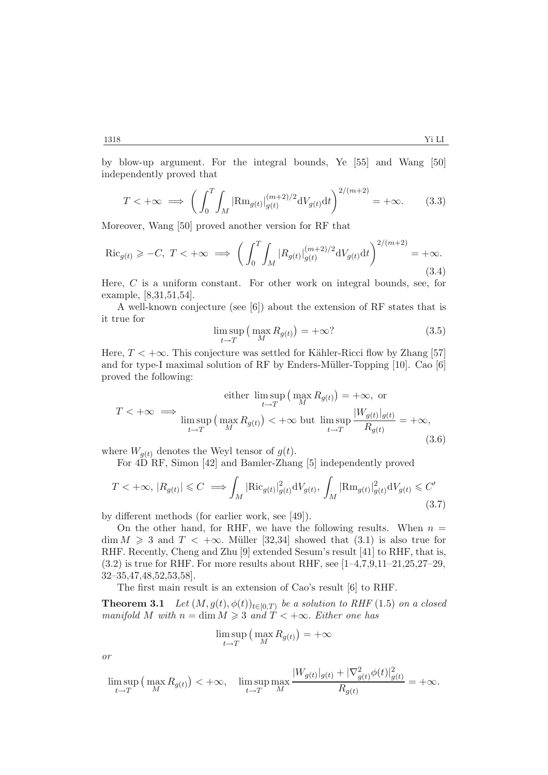by blow-up argument. For the integral bounds, Ye [55] and Wang [50] independently proved that

$$
T < +\infty \implies \left(\int_0^T \int_M |\text{Rm}_{g(t)}|_{g(t)}^{(m+2)/2} \text{d}V_{g(t)} \text{d}t\right)^{2/(m+2)} = +\infty. \tag{3.3}
$$

Moreover, Wang [50] proved another version for RF that

$$
\text{Ric}_{g(t)} \geq -C, \ T < +\infty \implies \left( \int_0^T \int_M |R_{g(t)}|_{g(t)}^{(m+2)/2} \mathrm{d}V_{g(t)} \mathrm{d}t \right)^{2/(m+2)} = +\infty. \tag{3.4}
$$

Here, C is a uniform constant. For other work on integral bounds, see, for example, [8,31,51,54].

A well-known conjecture (see [6]) about the extension of RF states that is it true for

$$
\limsup_{t \to T} \left( \max_{M} R_{g(t)} \right) = +\infty
$$
\n(3.5)

Here,  $T < +\infty$ . This conjecture was settled for Kähler-Ricci flow by Zhang [57]<br>and for type-I maximal solution of RE by Enders-Müller-Topping [10]. Cao [6] and for type-I maximal solution of RF by Enders-M¨uller-Topping [10]. Cao [6] proved the following:

either 
$$
\limsup_{t \to T} (\max_{M} R_{g(t)}) = +\infty
$$
, or  
\n
$$
T < +\infty \implies \limsup_{t \to T} (\max_{M} R_{g(t)}) < +\infty \text{ but } \limsup_{t \to T} \frac{|W_{g(t)}|_{g(t)}}{R_{g(t)}} = +\infty,
$$
\n(3.6)

where  $W_{q(t)}$  denotes the Weyl tensor of  $g(t)$ .

For 4D RF, Simon [42] and Bamler-Zhang [5] independently proved

$$
T < +\infty, |R_{g(t)}| \le C \implies \int_M |\text{Ric}_{g(t)}|_{g(t)}^2 dV_{g(t)}, \int_M |\text{Rm}_{g(t)}|_{g(t)}^2 dV_{g(t)} \le C' \tag{3.7}
$$

by different methods (for earlier work, see [49]).

On the other hand, for RHF, we have the following results. When  $n =$  $\dim M \geq 3$  and  $T < +\infty$ . Müller [32,34] showed that (3.1) is also true for RHF Recently Chaps and Zhu [0] extended Sesum's result [41] to RHF that is RHF. Recently, Cheng and Zhu [9] extended Sesum's result [41] to RHF, that is,  $(3.2)$  is true for RHF. For more results about RHF, see [1-4,7,9,11-21,25,27-29, 32–35,47,48,52,53,58].

The first main result is an extension of Cao's result [6] to RHF.

**Theorem 3.1** *Let*  $(M, g(t), \phi(t))_{t \in [0,T)}$  *be a solution to RHF* (1.5) *on a closed*  $manifold M with n = \dim M \geqslant 3 and T < +\infty.$  *Either one has* 

$$
\limsup_{t \to T} \left( \max_{M} R_{g(t)} \right) = +\infty
$$

*or*

$$
\limsup_{t \to T} \left( \max_{M} R_{g(t)} \right) < +\infty, \quad \limsup_{t \to T} \max_{M} \frac{|W_{g(t)}|_{g(t)} + |\nabla^2_{g(t)} \phi(t)|^2_{g(t)}}{R_{g(t)}} = +\infty.
$$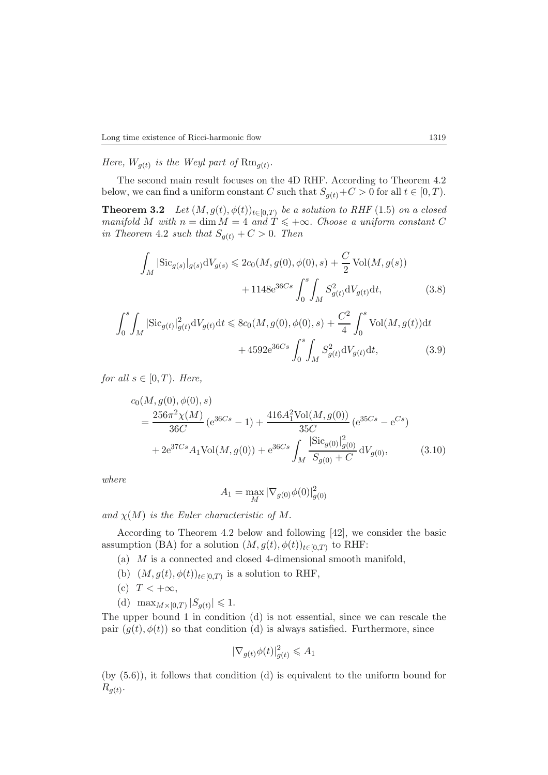*Here,*  $W_{q(t)}$  *is the Weyl part of*  $\text{Rm}_{q(t)}$ .

The second main result focuses on the 4D RHF. According to Theorem 4.2 below, we can find a uniform constant C such that  $S_{g(t)}+C > 0$  for all  $t \in [0, T)$ .

**Theorem 3.2** *Let*  $(M, g(t), \phi(t))_{t \in [0,T)}$  *be a solution to RHF* (1.5) *on a closed*<br>manifold M with  $n = \dim M - A$  and  $T < +\infty$ . Choose a uniform constant C *manifold M* with  $n = \dim M = 4$  and  $T \leq +\infty$ . *Choose a uniform constant C* in Theorem 4.2 such that  $S \otimes + C > 0$  Then *in Theorem* 4.2 *such that*  $S_{g(t)} + C > 0$ *. Then* 

$$
\int_{M} |\text{Sic}_{g(s)}|_{g(s)} dV_{g(s)} \le 2c_0(M, g(0), \phi(0), s) + \frac{C}{2} \text{Vol}(M, g(s)) + 1148e^{36Cs} \int_{0}^{s} \int_{M} S_{g(t)}^2 dV_{g(t)} dt,
$$
\n(3.8)

$$
\int_{0}^{s} \int_{M} |\text{Sic}_{g(t)}|_{g(t)}^{2} dV_{g(t)} dt \leq 8c_{0}(M, g(0), \phi(0), s) + \frac{C^{2}}{4} \int_{0}^{s} \text{Vol}(M, g(t)) dt
$$

$$
+ 4592 e^{36Cs} \int_{0}^{s} \int_{M} S_{g(t)}^{2} dV_{g(t)} dt, \qquad (3.9)
$$

*for all*  $s \in [0, T)$ *. Here,* 

$$
c_0(M, g(0), \phi(0), s)
$$
  
= 
$$
\frac{256\pi^2 \chi(M)}{36C} (e^{36Cs} - 1) + \frac{416A_1^2 \text{Vol}(M, g(0))}{35C} (e^{35Cs} - e^{Cs})
$$
  
+ 
$$
2e^{37Cs} A_1 \text{Vol}(M, g(0)) + e^{36Cs} \int_M \frac{|\text{Sic}_{g(0)}|_{g(0)}^2}{S_{g(0)} + C} dV_{g(0)},
$$
(3.10)

*where*

$$
A_1 = \max_{M} |\nabla_{g(0)} \phi(0)|_{g(0)}^2
$$

*and*  $\chi(M)$  *is the Euler characteristic of* M.

According to Theorem 4.2 below and following [42], we consider the basic assumption (BA) for a solution  $(M, g(t), \phi(t))_{t\in[0,T)}$  to RHF:

- (a) M is a connected and closed 4-dimensional smooth manifold,
- (b)  $(M, g(t), \phi(t))_{t \in [0,T)}$  is a solution to RHF,
- (c)  $T < +\infty$ ,
- (d)  $\max_{M \times [0,T)} |S_{g(t)}| \leq 1.$

The upper bound 1 in condition (d) is not essential, since we can rescale the pair  $(g(t), \phi(t))$  so that condition (d) is always satisfied. Furthermore, since

$$
|\nabla_{g(t)}\phi(t)|_{g(t)}^2 \leqslant A_1
$$

(by (5.6)), it follows that condition (d) is equivalent to the uniform bound for  $R_{q(t)}$ .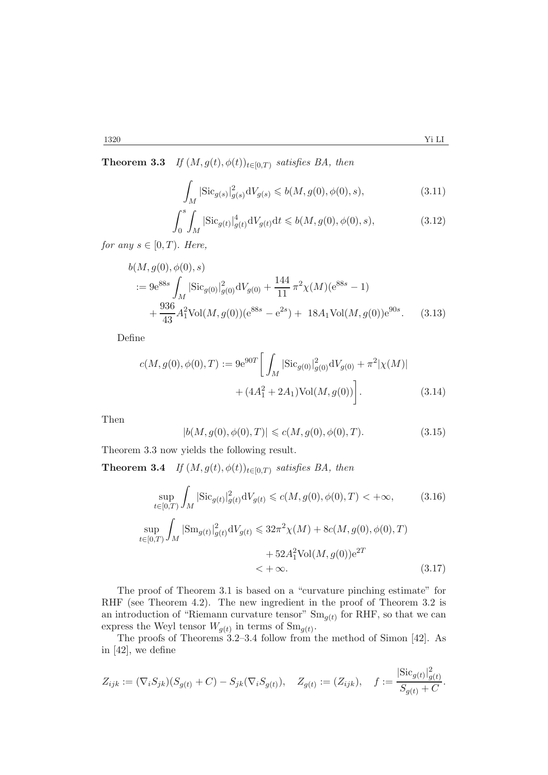**Theorem 3.3** *If*  $(M, g(t), \phi(t))_{t \in [0,T)}$  *satisfies BA, then* 

$$
\int_{M} |\text{Sic}_{g(s)}|_{g(s)}^2 dV_{g(s)} \leq b(M, g(0), \phi(0), s),
$$
\n(3.11)

$$
\int_{0}^{s} \int_{M} |\text{Sic}_{g(t)}|_{g(t)}^{4} dV_{g(t)} dt \leq b(M, g(0), \phi(0), s),
$$
\n(3.12)

for any  $s \in [0, T)$ . Here,

$$
b(M, g(0), \phi(0), s)
$$
  
:=  $9e^{88s} \int_M |\text{Sic}_{g(0)}|^2_{g(0)} dV_{g(0)} + \frac{144}{11} \pi^2 \chi(M)(e^{88s} - 1)$   
+  $\frac{936}{43} A_1^2 \text{Vol}(M, g(0))(e^{88s} - e^{2s}) + 18A_1 \text{Vol}(M, g(0))e^{90s}.$  (3.13)

Define

$$
c(M, g(0), \phi(0), T) := 9e^{90T} \left[ \int_M |\text{Sic}_{g(0)}|^2_{g(0)} dV_{g(0)} + \pi^2 |\chi(M)| + (4A_1^2 + 2A_1) \text{Vol}(M, g(0)) \right].
$$
 (3.14)

Then

$$
|b(M, g(0), \phi(0), T)| \le c(M, g(0), \phi(0), T). \tag{3.15}
$$

Theorem 3.3 now yields the following result.

**Theorem 3.4** *If*  $(M, g(t), \phi(t))_{t \in [0,T)}$  *satisfies BA, then* 

$$
\sup_{t \in [0,T)} \int_M |\text{Sic}_{g(t)}|_{g(t)}^2 \, dV_{g(t)} \le c(M, g(0), \phi(0), T) < +\infty,\tag{3.16}
$$

$$
\sup_{t \in [0,T)} \int_M |\text{Sm}_{g(t)}|^2_{g(t)} dV_{g(t)} \le 32\pi^2 \chi(M) + 8c(M, g(0), \phi(0), T) + 52A_1^2 \text{Vol}(M, g(0))e^{2T} < + \infty.
$$
 (3.17)

The proof of Theorem 3.1 is based on a "curvature pinching estimate" for RHF (see Theorem 4.2). The new ingredient in the proof of Theorem 3.2 is an introduction of "Riemann curvature tensor"  $Sm_{g(t)}$  for RHF, so that we can express the Weyl tensor  $W_{g(t)}$  in terms of  $Sm_{g(t)}$ .

The proofs of Theorems 3.2–3.4 follow from the method of Simon [42]. As in [42], we define

$$
Z_{ijk} := (\nabla_i S_{jk})(S_{g(t)} + C) - S_{jk}(\nabla_i S_{g(t)}), \quad Z_{g(t)} := (Z_{ijk}), \quad f := \frac{|\text{Sic}_{g(t)}|_{g(t)}^2}{S_{g(t)} + C}.
$$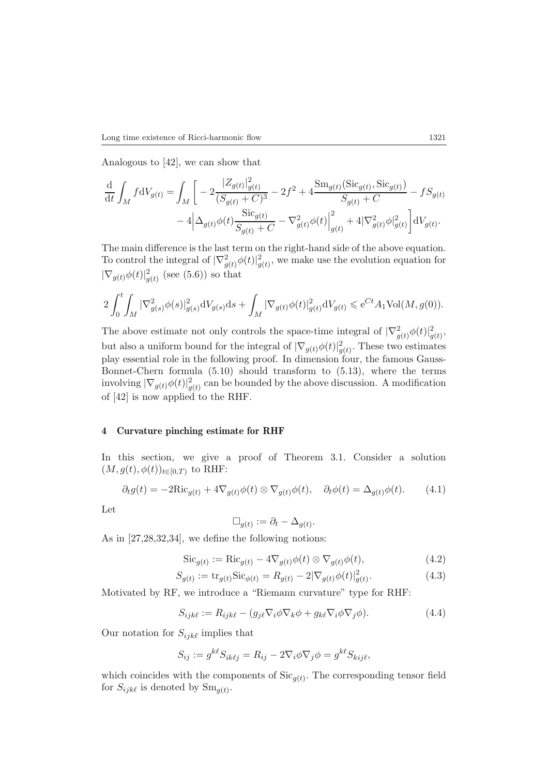Analogous to [42], we can show that

$$
\frac{\mathrm{d}}{\mathrm{d}t} \int_{M} f \mathrm{d}V_{g(t)} = \int_{M} \left[ -2 \frac{|Z_{g(t)}|_{g(t)}^{2}}{(S_{g(t)} + C)^{3}} - 2f^{2} + 4 \frac{\mathrm{Sm}_{g(t)}(\mathrm{Sic}_{g(t)}, \mathrm{Sic}_{g(t)})}{S_{g(t)} + C} - f S_{g(t)} \right. \\
\left. - 4 \left| \Delta_{g(t)} \phi(t) \frac{\mathrm{Sic}_{g(t)}}{S_{g(t)} + C} - \nabla_{g(t)}^{2} \phi(t) \right|_{g(t)}^{2} + 4 |\nabla_{g(t)}^{2} \phi|_{g(t)}^{2} \right] \mathrm{d}V_{g(t)}.
$$

The main difference is the last term on the right-hand side of the above equation. To control the integral of  $|\nabla^2_{g(t)}\phi(t)|^2_{g(t)}$ , we make use the evolution equation for  $|\nabla_{g(t)} \phi(t)|_{g(t)}^2$  (see (5.6)) so that

$$
2\int_0^t \int_M |\nabla_{g(s)}^2 \phi(s)|^2_{g(s)} \mathrm{d}V_{g(s)} \mathrm{d}s + \int_M |\nabla_{g(t)} \phi(t)|^2_{g(t)} \mathrm{d}V_{g(t)} \leqslant e^{Ct} A_1 \text{Vol}(M, g(0)).
$$

The above estimate not only controls the space-time integral of  $|\nabla^2_{g(t)}\phi(t)|^2_{g(t)}$ , but also a uniform bound for the integral of  $|\nabla_{g(t)} \phi(t)|_{g(t)}^2$ . These two estimates<br>play assortial role in the following proof. In dimension four, the famous Cause play essential role in the following proof. In dimension four, the famous Gauss-Bonnet-Chern formula (5.10) should transform to (5.13), where the terms involving  $|\nabla_{g(t)} \phi(t)|_{g(t)}^2$  can be bounded by the above discussion. A modification of [42] is now applied to the PHF of [42] is now applied to the RHF.

#### **4 Curvature pinching estimate for RHF**

In this section, we give a proof of Theorem 3.1. Consider a solution  $(M,g(t),\phi(t))_{t\in[0,T)}$  to RHF:

$$
\partial_t g(t) = -2\mathrm{Ric}_{g(t)} + 4\nabla_{g(t)}\phi(t) \otimes \nabla_{g(t)}\phi(t), \quad \partial_t \phi(t) = \Delta_{g(t)}\phi(t). \tag{4.1}
$$

Let

$$
\Box_{g(t)} := \partial_t - \Delta_{g(t)}.
$$

As in [27,28,32,34], we define the following notions:

$$
\operatorname{Sic}_{g(t)} := \operatorname{Ric}_{g(t)} - 4\nabla_{g(t)}\phi(t) \otimes \nabla_{g(t)}\phi(t),\tag{4.2}
$$

$$
S_{g(t)} := \text{tr}_{g(t)} \text{Sic}_{\phi(t)} = R_{g(t)} - 2|\nabla_{g(t)} \phi(t)|_{g(t)}^2.
$$
 (4.3)

Motivated by RF, we introduce a "Riemann curvature" type for RHF:

$$
S_{ijk\ell} := R_{ijk\ell} - (g_{j\ell} \nabla_i \phi \nabla_k \phi + g_{k\ell} \nabla_i \phi \nabla_j \phi).
$$
 (4.4)

Our notation for  $S_{ijk\ell}$  implies that

$$
S_{ij} := g^{k\ell} S_{ik\ell j} = R_{ij} - 2\nabla_i \phi \nabla_j \phi = g^{k\ell} S_{kij\ell},
$$

which coincides with the components of  $\text{Sic}_{q(t)}$ . The corresponding tensor field for  $S_{ijk\ell}$  is denoted by  $Sm_{q(t)}$ .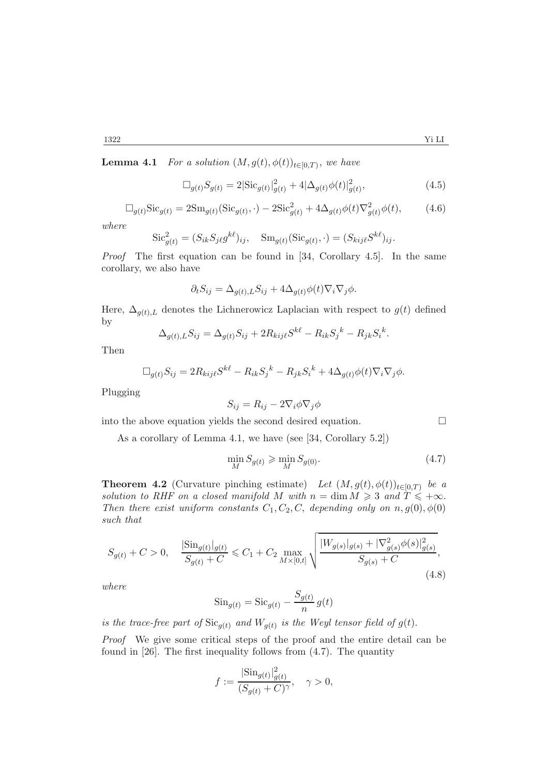**Lemma 4.1** *For a solution*  $(M, g(t), \phi(t))_{t \in [0,T)}$ *, we have* 

$$
\Box_{g(t)} S_{g(t)} = 2|\text{Sic}_{g(t)}|_{g(t)}^2 + 4|\Delta_{g(t)}\phi(t)|_{g(t)}^2,
$$
\n(4.5)

$$
\Box_{g(t)} \text{Sic}_{g(t)} = 2\text{Sm}_{g(t)} (\text{Sic}_{g(t)}, \cdot) - 2\text{Sic}_{g(t)}^2 + 4\Delta_{g(t)}\phi(t)\nabla_{g(t)}^2\phi(t), \tag{4.6}
$$

*where*

$$
\operatorname{Sic}_{g(t)}^2 = (S_{ik}S_{j\ell}g^{k\ell})_{ij}, \quad \operatorname{Sm}_{g(t)}(\operatorname{Sic}_{g(t)}, \cdot) = (S_{kij\ell}S^{k\ell})_{ij}.
$$

*Proof* The first equation can be found in [34, Corollary 4.5]. In the same corollary, we also have

$$
\partial_t S_{ij} = \Delta_{g(t),L} S_{ij} + 4\Delta_{g(t)} \phi(t) \nabla_i \nabla_j \phi.
$$

Here,  $\Delta_{q(t),L}$  denotes the Lichnerowicz Laplacian with respect to  $g(t)$  defined by

$$
\Delta_{g(t),L} S_{ij} = \Delta_{g(t)} S_{ij} + 2R_{kij\ell} S^{k\ell} - R_{ik} S_j^k - R_{jk} S_i^k.
$$

Then

$$
\Box_{g(t)} S_{ij} = 2R_{kij\ell} S^{k\ell} - R_{ik} S_j{}^k - R_{jk} S_i{}^k + 4\Delta_{g(t)} \phi(t) \nabla_i \nabla_j \phi.
$$

Plugging

$$
S_{ij} = R_{ij} - 2\nabla_i \phi \nabla_j \phi
$$

into the above equation yields the second desired equation.  $\Box$ 

As a corollary of Lemma 4.1, we have (see [34, Corollary 5.2])

$$
\min_{M} S_{g(t)} \ge \min_{M} S_{g(0)}.\tag{4.7}
$$

**Theorem 4.2** (Curvature pinching estimate) *Let*  $(M, g(t), \phi(t))_{t \in [0,T)}$  *be a solution to RHF on a closed manifold* M with  $n = \dim M \geqslant 3$  *and*  $T \leqslant +\infty$ .<br>Then there exist uniform constants  $C_1$ ,  $C_2$ ,  $C_3$  denoting only on  $n_a(0)$ ,  $\phi(0)$ *Then there exist uniform constants*  $C_1, C_2, C$ , *depending only on*  $n, g(0), \phi(0)$ *such that*

$$
S_{g(t)} + C > 0, \quad \frac{|\text{Sin}_{g(t)}|_{g(t)}}{S_{g(t)} + C} \le C_1 + C_2 \max_{M \times [0,t]} \sqrt{\frac{|W_{g(s)}|_{g(s)} + |\nabla^2_{g(s)} \phi(s)|^2_{g(s)}}{S_{g(s)} + C}},
$$
\n(4.8)

*where*

$$
\operatorname{Sin}_{g(t)} = \operatorname{Sic}_{g(t)} - \frac{S_{g(t)}}{n} g(t)
$$

*is the trace-free part of*  $\text{Sic}_{g(t)}$  *and*  $W_{g(t)}$  *is the Weyl tensor field of*  $g(t)$ *.* 

*Proof* We give some critical steps of the proof and the entire detail can be found in [26]. The first inequality follows from (4.7). The quantity

$$
f := \frac{|\text{Sin}_{g(t)}|_{g(t)}^2}{(S_{g(t)} + C)^{\gamma}}, \quad \gamma > 0,
$$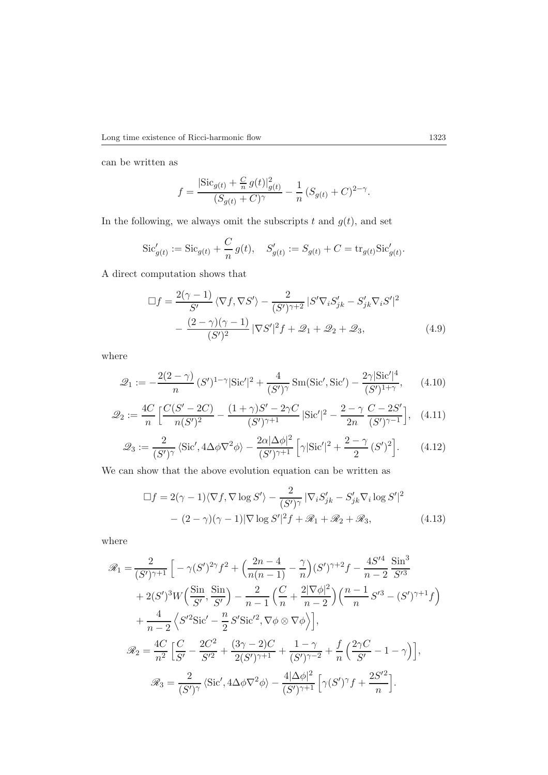can be written as

$$
f = \frac{|\text{Sic}_{g(t)} + \frac{C}{n} g(t)|_{g(t)}^2}{(S_{g(t)} + C)^{\gamma}} - \frac{1}{n} (S_{g(t)} + C)^{2-\gamma}.
$$

In the following, we always omit the subscripts t and  $g(t)$ , and set

$$
\operatorname{Sic}_{g(t)}' := \operatorname{Sic}_{g(t)} + \frac{C}{n} g(t), \quad S_{g(t)}' := S_{g(t)} + C = \operatorname{tr}_{g(t)} \operatorname{Sic}_{g(t)}'.
$$

A direct computation shows that

$$
\Box f = \frac{2(\gamma - 1)}{S'} \langle \nabla f, \nabla S' \rangle - \frac{2}{(S')^{\gamma + 2}} |S' \nabla_i S'_{jk} - S'_{jk} \nabla_i S'|^2
$$

$$
- \frac{(2 - \gamma)(\gamma - 1)}{(S')^2} |\nabla S'|^2 f + \mathcal{Q}_1 + \mathcal{Q}_2 + \mathcal{Q}_3,
$$
(4.9)

where

$$
\mathcal{Q}_1 := -\frac{2(2-\gamma)}{n} (S')^{1-\gamma} |\text{Sic}'|^2 + \frac{4}{(S')^{\gamma}} \text{Sm}(\text{Sic}', \text{Sic}') - \frac{2\gamma |\text{Sic}'|^4}{(S')^{1+\gamma}}, \qquad (4.10)
$$

$$
\mathcal{Q}_2 := \frac{4C}{n} \left[ \frac{C(S' - 2C)}{n(S')^2} - \frac{(1 + \gamma)S' - 2\gamma C}{(S')^{\gamma + 1}} | \text{Sic}' |^2 - \frac{2 - \gamma C - 2S'}{2n} \frac{C - 2S'}{(S')^{\gamma - 1}} \right], \quad (4.11)
$$

$$
\mathcal{Q}_3 := \frac{2}{(S')^{\gamma}} \left\langle \text{Sic}', 4\Delta\phi \nabla^2 \phi \right\rangle - \frac{2\alpha |\Delta\phi|^2}{(S')^{\gamma+1}} \left[ \gamma |\text{Sic}'|^2 + \frac{2-\gamma}{2} (S')^2 \right]. \tag{4.12}
$$

We can show that the above evolution equation can be written as

$$
\Box f = 2(\gamma - 1)\langle \nabla f, \nabla \log S' \rangle - \frac{2}{(S')^{\gamma}} |\nabla_i S'_{jk} - S'_{jk} \nabla_i \log S'|^2
$$

$$
- (2 - \gamma)(\gamma - 1)|\nabla \log S'|^2 f + \mathcal{R}_1 + \mathcal{R}_2 + \mathcal{R}_3,
$$
(4.13)

where

$$
\mathcal{R}_1 = \frac{2}{(S')^{\gamma+1}} \left[ -\gamma (S')^{2\gamma} f^2 + \left( \frac{2n-4}{n(n-1)} - \frac{\gamma}{n} \right) (S')^{\gamma+2} f - \frac{4S'^4}{n-2} \frac{\sin^3}{S'^3} \right. \n+ 2(S')^3 W \left( \frac{\sin}{S'} , \frac{\sin}{S'} \right) - \frac{2}{n-1} \left( \frac{C}{n} + \frac{2|\nabla \phi|^2}{n-2} \right) \left( \frac{n-1}{n} S'^3 - (S')^{\gamma+1} f \right) \n+ \frac{4}{n-2} \left\langle S'^2 \text{Sic}' - \frac{n}{2} S' \text{Sic}'^2, \nabla \phi \otimes \nabla \phi \right\rangle \right],\n\mathcal{R}_2 = \frac{4C}{n^2} \left[ \frac{C}{S'} - \frac{2C^2}{S'^2} + \frac{(3\gamma-2)C}{2(S')^{\gamma+1}} + \frac{1-\gamma}{(S')^{\gamma-2}} + \frac{f}{n} \left( \frac{2\gamma C}{S'} - 1 - \gamma \right) \right],\n\mathcal{R}_3 = \frac{2}{(S')^{\gamma}} \left\langle \text{Sic}', 4\Delta \phi \nabla^2 \phi \right\rangle - \frac{4|\Delta \phi|^2}{(S')^{\gamma+1}} \left[ \gamma (S')^{\gamma} f + \frac{2S'^2}{n} \right].
$$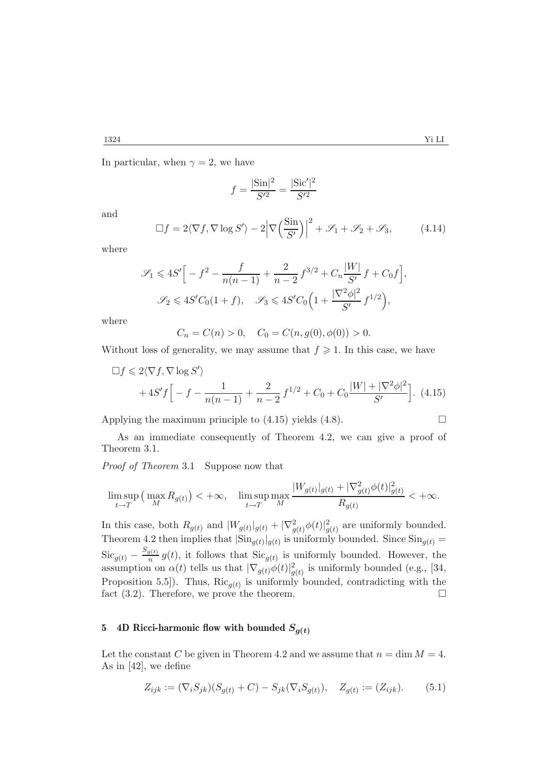In particular, when  $\gamma = 2$ , we have

$$
f = \frac{|\text{Sin}|^2}{S'^2} = \frac{|\text{Sic}'|^2}{S'^2}
$$

and

$$
\Box f = 2\langle \nabla f, \nabla \log S' \rangle - 2\Big|\nabla \Big(\frac{\text{Sin}}{S'}\Big)\Big|^2 + \mathcal{S}_1 + \mathcal{S}_2 + \mathcal{S}_3,\tag{4.14}
$$

where

$$
\mathcal{S}_1 \leqslant 4S' \Big[ -f^2 - \frac{f}{n(n-1)} + \frac{2}{n-2} f^{3/2} + C_n \frac{|W|}{S'} f + C_0 f \Big],
$$
  

$$
\mathcal{S}_2 \leqslant 4S'C_0(1+f), \quad \mathcal{S}_3 \leqslant 4S'C_0 \Big( 1 + \frac{|\nabla^2 \phi|^2}{S'} f^{1/2} \Big),
$$

where

$$
C_n = C(n) > 0, \quad C_0 = C(n, g(0), \phi(0)) > 0.
$$

Without loss of generality, we may assume that  $f \geqslant 1$ . In this case, we have

$$
\Box f \leq 2 \langle \nabla f, \nabla \log S' \rangle
$$
  
+4S'f\Big[-f - \frac{1}{n(n-1)} + \frac{2}{n-2} f^{1/2} + C\_0 + C\_0 \frac{|W| + |\nabla^2 \phi|^2}{S'}\Big]. (4.15)

Applying the maximum principle to  $(4.15)$  yields  $(4.8)$ .

As an immediate consequently of Theorem 4.2, we can give a proof of Theorem 3.1.

*Proof of Theorem* <sup>3</sup>.1 Suppose now that

$$
\limsup_{t \to T} \left( \max_M R_{g(t)} \right) < +\infty, \quad \limsup_{t \to T} \max_M \frac{|W_{g(t)}|_{g(t)} + |\nabla^2_{g(t)} \phi(t)|^2_{g(t)}}{R_{g(t)}} < +\infty.
$$

In this case, both  $R_{g(t)}$  and  $|W_{g(t)}|_{g(t)} + |\nabla^2_{g(t)}\phi(t)|^2_{g(t)}$  are uniformly bounded.<br>Theorem 4.2 than implies that  $|\text{Sin}_{g(t)}|$  is uniformly bounded. Since  $\text{Sin}_{g(t)} =$ Theorem 4.2 then implies that  $|\text{Sin}_{g(t)}|_{g(t)}$  is uniformly bounded. Since  $\text{Sin}_{g(t)} =$  $\operatorname{Sic}_{g(t)} - \frac{S_g(t)}{n} g(t)$ , it follows that  $\operatorname{Sic}_{g(t)}$  is uniformly bounded. However, the assumption on  $\alpha(t)$  tells us that  $|\nabla_{g(t)} \phi(t)|_{g(t)}^2$  is uniformly bounded (e.g., [34,<br>Proposition 5.5). Thus, Big us is uniformly bounded, controllating with the Proposition 5.5]). Thus,  $\text{Ric}_{g(t)}$  is uniformly bounded, contradicting with the fact (3.2). Therefore, we prove the theorem. fact (3.2). Therefore, we prove the theorem.

#### **5** 4D Ricci-harmonic flow with bounded  $S_{q(t)}$

Let the constant C be given in Theorem 4.2 and we assume that  $n = \dim M = 4$ . As in [42], we define

$$
Z_{ijk} := (\nabla_i S_{jk})(S_{g(t)} + C) - S_{jk}(\nabla_i S_{g(t)}), \quad Z_{g(t)} := (Z_{ijk}).
$$
 (5.1)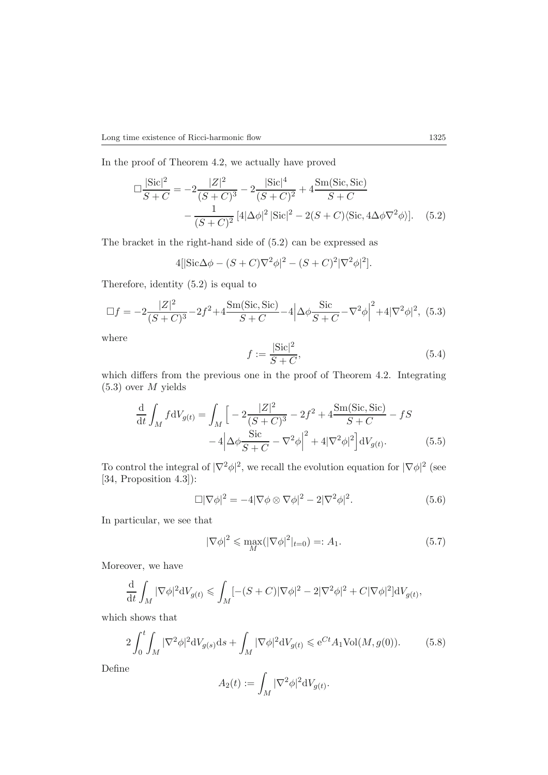In the proof of Theorem 4.2, we actually have proved

$$
\Box \frac{|\text{Sic}|^2}{S+C} = -2 \frac{|Z|^2}{(S+C)^3} - 2 \frac{|\text{Sic}|^4}{(S+C)^2} + 4 \frac{\text{Sm}(\text{Sic, Sic})}{S+C} - \frac{1}{(S+C)^2} [4|\Delta\phi|^2 |\text{Sic}|^2 - 2(S+C)\langle \text{Sic}, 4\Delta\phi \nabla^2 \phi \rangle]. \tag{5.2}
$$

The bracket in the right-hand side of (5.2) can be expressed as

$$
4[|{\rm Sic}\Delta\phi - (S+C)\nabla^2\phi|^2 - (S+C)^2|\nabla^2\phi|^2].
$$

Therefore, identity (5.2) is equal to

$$
\Box f = -2\frac{|Z|^2}{(S+C)^3} - 2f^2 + 4\frac{\text{Sm(Sic, Sic)}}{S+C} - 4\left|\Delta\phi\frac{\text{Sic}}{S+C} - \nabla^2\phi\right|^2 + 4|\nabla^2\phi|^2, (5.3)
$$

where

$$
f := \frac{|\text{Sic}|^2}{S+C},
$$
\nwhich differs from the previous one in the proof of Theorem 4.2. Integrating

(5.3) over M yields

$$
\frac{\mathrm{d}}{\mathrm{d}t} \int_{M} f \mathrm{d}V_{g(t)} = \int_{M} \left[ -2 \frac{|Z|^{2}}{(S+C)^{3}} - 2f^{2} + 4 \frac{\mathrm{Sm}(\mathrm{Sic}, \mathrm{Sic})}{S+C} - fS - 4 \left| \Delta \phi \frac{\mathrm{Sic}}{S+C} - \nabla^{2} \phi \right|^{2} + 4|\nabla^{2} \phi|^{2} \right] \mathrm{d}V_{g(t)}.
$$
\n(5.5)

To control the integral of  $|\nabla^2 \phi|^2$ , we recall the evolution equation for  $|\nabla \phi|^2$  (see [34, Proposition 4.3]):

$$
\Box |\nabla \phi|^2 = -4|\nabla \phi \otimes \nabla \phi|^2 - 2|\nabla^2 \phi|^2. \tag{5.6}
$$

In particular, we see that

$$
|\nabla \phi|^2 \le \max_M (|\nabla \phi|^2|_{t=0}) =: A_1. \tag{5.7}
$$

Moreover, we have

$$
\frac{\mathrm{d}}{\mathrm{d}t} \int_M |\nabla \phi|^2 \mathrm{d}V_{g(t)} \leqslant \int_M [-(S+C)|\nabla \phi|^2 - 2|\nabla^2 \phi|^2 + C|\nabla \phi|^2] \mathrm{d}V_{g(t)},
$$

which shows that

$$
2\int_0^t \int_M |\nabla^2 \phi|^2 dV_{g(s)} ds + \int_M |\nabla \phi|^2 dV_{g(t)} \leqslant e^{Ct} A_1 \text{Vol}(M, g(0)). \tag{5.8}
$$

Define

$$
A_2(t) := \int_M |\nabla^2 \phi|^2 dV_{g(t)}.
$$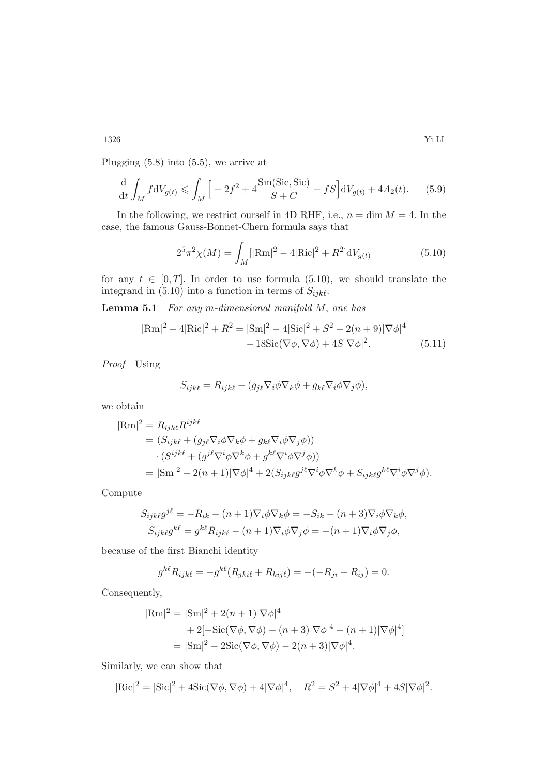Plugging (5.8) into (5.5), we arrive at

$$
\frac{d}{dt} \int_M f dV_{g(t)} \le \int_M \Big[ -2f^2 + 4 \frac{\text{Sm(Sic, Sic)}}{S + C} - fS \Big] dV_{g(t)} + 4A_2(t). \tag{5.9}
$$

In the following, we restrict ourself in 4D RHF, i.e.,  $n = \dim M = 4$ . In the case, the famous Gauss-Bonnet-Chern formula says that

$$
2^{5}\pi^{2}\chi(M) = \int_{M} [|\text{Rm}|^{2} - 4|\text{Ric}|^{2} + R^{2}]\text{d}V_{g(t)}
$$
(5.10)

for any  $t \in [0, T]$ . In order to use formula (5.10), we should translate the integrand in  $(5.10)$  into a function in terms of  $S_{ijk\ell}$ .

**Lemma 5.1** *For any* m*-dimensional manifold* M, *one has*

$$
|\text{Rm}|^2 - 4|\text{Ric}|^2 + R^2 = |\text{Sm}|^2 - 4|\text{Sic}|^2 + S^2 - 2(n+9)|\nabla\phi|^4
$$
  
- 18\text{Sic}(\nabla\phi, \nabla\phi) + 4S|\nabla\phi|^2. (5.11)

*Proof* Using

$$
S_{ijk\ell} = R_{ijk\ell} - (g_{j\ell} \nabla_i \phi \nabla_k \phi + g_{k\ell} \nabla_i \phi \nabla_j \phi),
$$

we obtain

$$
|\text{Rm}|^2 = R_{ijk\ell} R^{ijk\ell}
$$
  
=  $(S_{ijk\ell} + (g_{j\ell}\nabla_i\phi\nabla_k\phi + g_{k\ell}\nabla_i\phi\nabla_j\phi))$   
 $\cdot (S^{ijk\ell} + (g^{j\ell}\nabla^i\phi\nabla^k\phi + g^{k\ell}\nabla^i\phi\nabla^j\phi))$   
=  $|\text{Sm}|^2 + 2(n+1)|\nabla\phi|^4 + 2(S_{ijk\ell}g^{j\ell}\nabla^i\phi\nabla^k\phi + S_{ijk\ell}g^{k\ell}\nabla^i\phi\nabla^j\phi).$ 

Compute

$$
S_{ijk\ell}g^{j\ell} = -R_{ik} - (n+1)\nabla_i\phi\nabla_k\phi = -S_{ik} - (n+3)\nabla_i\phi\nabla_k\phi,
$$
  

$$
S_{ijk\ell}g^{k\ell} = g^{k\ell}R_{ijk\ell} - (n+1)\nabla_i\phi\nabla_j\phi = -(n+1)\nabla_i\phi\nabla_j\phi,
$$

because of the first Bianchi identity

$$
g^{k\ell} R_{ijk\ell} = -g^{k\ell} (R_{jki\ell} + R_{kij\ell}) = -(-R_{ji} + R_{ij}) = 0.
$$

Consequently,

$$
|\text{Rm}|^2 = |\text{Sm}|^2 + 2(n+1)|\nabla\phi|^4
$$
  
+ 2[-Sic(\nabla\phi, \nabla\phi) - (n+3)|\nabla\phi|^4 - (n+1)|\nabla\phi|^4]  
= |\text{Sm}|^2 - 2\text{Sic}(\nabla\phi, \nabla\phi) - 2(n+3)|\nabla\phi|^4.

Similarly, we can show that

$$
|\text{Ric}|^2 = |\text{Sic}|^2 + 4\text{Sic}(\nabla\phi, \nabla\phi) + 4|\nabla\phi|^4, \quad R^2 = S^2 + 4|\nabla\phi|^4 + 4S|\nabla\phi|^2.
$$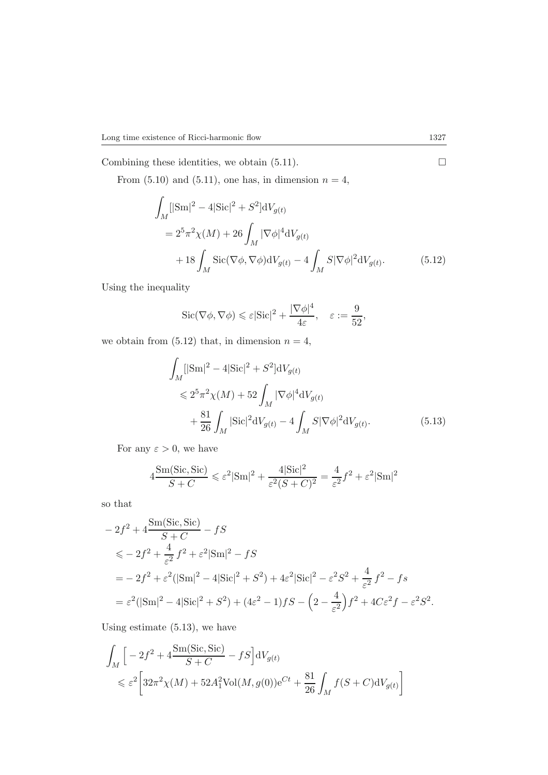Combining these identities, we obtain  $(5.11)$ .

From  $(5.10)$  and  $(5.11)$ , one has, in dimension  $n = 4$ ,

$$
\int_{M} [|\text{Sm}|^{2} - 4|\text{Sic}|^{2} + S^{2}] \, \mathrm{d}V_{g(t)} \n= 2^{5} \pi^{2} \chi(M) + 26 \int_{M} |\nabla \phi|^{4} \, \mathrm{d}V_{g(t)} \n+ 18 \int_{M} \text{Sic}(\nabla \phi, \nabla \phi) \, \mathrm{d}V_{g(t)} - 4 \int_{M} S|\nabla \phi|^{2} \, \mathrm{d}V_{g(t)}.
$$
\n(5.12)

Using the inequality

$$
\operatorname{Sic}(\nabla \phi, \nabla \phi) \leq \varepsilon |\operatorname{Sic}|^2 + \frac{|\nabla \phi|^4}{4\varepsilon}, \quad \varepsilon := \frac{9}{52},
$$

we obtain from  $(5.12)$  that, in dimension  $n = 4$ ,

$$
\int_{M} [|\text{Sm}|^{2} - 4|\text{Sic}|^{2} + S^{2}] \, \mathrm{d}V_{g(t)}\n\n\leq 2^{5} \pi^{2} \chi(M) + 52 \int_{M} |\nabla \phi|^{4} \, \mathrm{d}V_{g(t)}\n\n+ \frac{81}{26} \int_{M} |\text{Sic}|^{2} \, \mathrm{d}V_{g(t)} - 4 \int_{M} S|\nabla \phi|^{2} \, \mathrm{d}V_{g(t)}.
$$
\n(5.13)

For any  $\varepsilon > 0$ , we have

$$
4\frac{\text{Sm}(Sic, \text{Sic})}{S+C} \leq \varepsilon^2 |\text{Sm}|^2 + \frac{4|\text{Sic}|^2}{\varepsilon^2 (S+C)^2} = \frac{4}{\varepsilon^2} f^2 + \varepsilon^2 |\text{Sm}|^2
$$

so that

$$
-2f^{2} + 4\frac{\text{Sm}(Sic, Sic)}{S + C} - fS
$$
  
\n
$$
\leq -2f^{2} + \frac{4}{\varepsilon^{2}}f^{2} + \varepsilon^{2}|\text{Sm}|^{2} - fS
$$
  
\n
$$
= -2f^{2} + \varepsilon^{2}(|\text{Sm}|^{2} - 4|\text{Sic}|^{2} + S^{2}) + 4\varepsilon^{2}|\text{Sic}|^{2} - \varepsilon^{2}S^{2} + \frac{4}{\varepsilon^{2}}f^{2} - fs
$$
  
\n
$$
= \varepsilon^{2}(|\text{Sm}|^{2} - 4|\text{Sic}|^{2} + S^{2}) + (4\varepsilon^{2} - 1)fS - \left(2 - \frac{4}{\varepsilon^{2}}\right)f^{2} + 4C\varepsilon^{2}f - \varepsilon^{2}S^{2}.
$$

Using estimate (5.13), we have

$$
\int_M \left[ -2f^2 + 4\frac{\text{Sm}(Sic, Sic)}{S+C} - fS \right] dV_{g(t)}
$$
\n
$$
\leq \varepsilon^2 \left[ 32\pi^2 \chi(M) + 52A_1^2 \text{Vol}(M, g(0))e^{Ct} + \frac{81}{26} \int_M f(S+C) dV_{g(t)} \right]
$$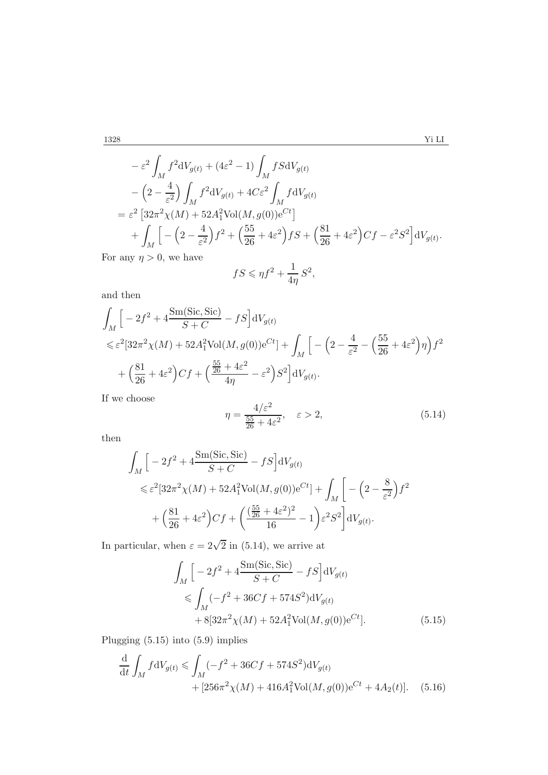$$
-\varepsilon^{2} \int_{M} f^{2}dV_{g(t)} + (4\varepsilon^{2} - 1) \int_{M} fSdV_{g(t)}
$$
  

$$
-\left(2 - \frac{4}{\varepsilon^{2}}\right) \int_{M} f^{2}dV_{g(t)} + 4C\varepsilon^{2} \int_{M} f dV_{g(t)}
$$
  

$$
= \varepsilon^{2} \left[32\pi^{2}\chi(M) + 52A_{1}^{2}\text{Vol}(M,g(0))e^{Ct}\right]
$$
  

$$
+ \int_{M} \left[-\left(2 - \frac{4}{\varepsilon^{2}}\right)f^{2} + \left(\frac{55}{26} + 4\varepsilon^{2}\right)fS + \left(\frac{81}{26} + 4\varepsilon^{2}\right)Cf - \varepsilon^{2}S^{2}\right]dV_{g(t)}.
$$
  
any  $n > 0$ , we have

For any  $\eta > 0$ , we have

$$
fS \leqslant \eta f^2 + \frac{1}{4\eta} S^2,
$$

and then

$$
\int_{M} \left[ -2f^{2} + 4 \frac{\text{Sm}(Sic, Sic)}{S + C} - fS \right] dV_{g(t)} \n\leq \varepsilon^{2} [32\pi^{2} \chi(M) + 52A_{1}^{2} \text{Vol}(M, g(0))e^{Ct}] + \int_{M} \left[ -\left( 2 - \frac{4}{\varepsilon^{2}} - \left( \frac{55}{26} + 4\varepsilon^{2} \right) \eta \right) f^{2} \right. \n+ \left( \frac{81}{26} + 4\varepsilon^{2} \right) Cf + \left( \frac{\frac{55}{26} + 4\varepsilon^{2}}{4\eta} - \varepsilon^{2} \right) S^{2} \left] dV_{g(t)}.
$$

If we choose

$$
\eta = \frac{4/\varepsilon^2}{\frac{55}{26} + 4\varepsilon^2}, \quad \varepsilon > 2,
$$
\n(5.14)

then

$$
\int_M \left[ -2f^2 + 4\frac{\text{Sm}(Sic, Sic)}{S+C} - fS \right] dV_{g(t)}
$$
\n
$$
\leq \varepsilon^2 [32\pi^2 \chi(M) + 52A_1^2 \text{Vol}(M, g(0))e^{Ct}] + \int_M \left[ -\left(2 - \frac{8}{\varepsilon^2}\right) f^2 + \left(\frac{81}{26} + 4\varepsilon^2\right) Cf + \left(\frac{(\frac{55}{26} + 4\varepsilon^2)^2}{16} - 1\right) \varepsilon^2 S^2 \right] dV_{g(t)}.
$$

In particular, when  $\varepsilon = 2\sqrt{2}$  in (5.14), we arrive at

$$
\int_{M} \left[ -2f^{2} + 4 \frac{\text{Sm}(Sic, Sic)}{S + C} - fS \right] dV_{g(t)} \n\leq \int_{M} (-f^{2} + 36Cf + 574S^{2}) dV_{g(t)} \n+ 8[32\pi^{2}\chi(M) + 52A_{1}^{2}\text{Vol}(M, g(0))e^{Ct}].
$$
\n(5.15)

Plugging (5.15) into (5.9) implies

$$
\frac{\mathrm{d}}{\mathrm{d}t} \int_{M} f \mathrm{d}V_{g(t)} \leq \int_{M} (-f^{2} + 36Cf + 574S^{2}) \mathrm{d}V_{g(t)} + [256\pi^{2}\chi(M) + 416A_{1}^{2}\text{Vol}(M, g(0))]e^{Ct} + 4A_{2}(t)].
$$
\n(5.16)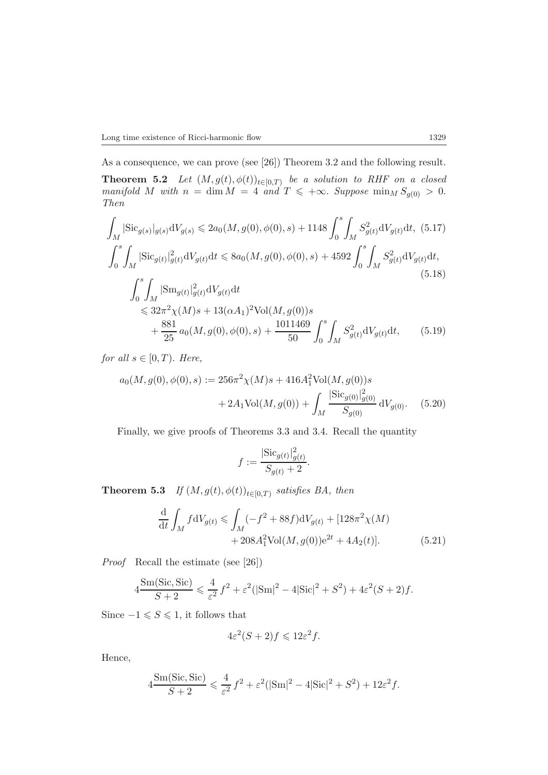As a consequence, we can prove (see [26]) Theorem 3.2 and the following result. **Theorem 5.2** *Let*  $(M, g(t), \phi(t))_{t \in [0,T]}$  *be a solution to RHF on a closed* manifold M with  $n = \dim M - A$  and  $T \leq +\infty$ . Suppose  $\min_{t \in [0,T]} S(t) \geq 0$ *manifold M with*  $n = \dim M = 4$  *and*  $T \leq +\infty$ . *Suppose*  $\min_M S_{g(0)} > 0$ .<br>*Then Then*

$$
\int_{M} |\text{Sic}_{g(s)}|_{g(s)} \text{d}V_{g(s)} \leq 2a_0(M, g(0), \phi(0), s) + 1148 \int_0^s \int_M S_{g(t)}^2 \text{d}V_{g(t)} \text{d}t, (5.17)
$$
\n
$$
\int_0^s \int_M |\text{Sic}_{g(t)}|_{g(t)}^2 \text{d}V_{g(t)} \text{d}t \leq 8a_0(M, g(0), \phi(0), s) + 4592 \int_0^s \int_M S_{g(t)}^2 \text{d}V_{g(t)} \text{d}t,
$$
\n(5.18)\n
$$
\int_0^s \int_M |\text{Sm}_{g(t)}|_{g(t)}^2 \text{d}V_{g(t)} \text{d}t
$$
\n
$$
\leq 32\pi^2 \chi(M)s + 13(\alpha A_1)^2 \text{Vol}(M, g(0))s + \frac{881}{25} a_0(M, g(0), \phi(0), s) + \frac{1011469}{50} \int_0^s \int_M S_{g(t)}^2 \text{d}V_{g(t)} \text{d}t,
$$
\n(5.19)

*for all*  $s \in [0, T)$ *. Here,* 

$$
a_0(M, g(0), \phi(0), s) := 256\pi^2 \chi(M)s + 416A_1^2 \text{Vol}(M, g(0))s
$$
  
+ 2A\_1 \text{Vol}(M, g(0)) +  $\int_M \frac{|\text{Sic}_{g(0)}|_{g(0)}^2}{S_{g(0)}} dV_{g(0)}.$  (5.20)

Finally, we give proofs of Theorems 3.3 and 3.4. Recall the quantity

$$
f := \frac{|\text{Sic}_{g(t)}|_{g(t)}^2}{S_{g(t)} + 2}.
$$

**Theorem 5.3** *If*  $(M, g(t), \phi(t))_{t \in [0,T)}$  *satisfies BA, then* 

$$
\frac{\mathrm{d}}{\mathrm{d}t} \int_{M} f \mathrm{d}V_{g(t)} \leq \int_{M} (-f^{2} + 88f) \mathrm{d}V_{g(t)} + [128\pi^{2}\chi(M) + 208A_{1}^{2}\mathrm{Vol}(M, g(0))e^{2t} + 4A_{2}(t)].
$$
\n(5.21)

*Proof* Recall the estimate (see [26])

$$
4\frac{\text{Sm}(\text{Sic}, \text{Sic})}{S+2} \leq \frac{4}{\varepsilon^2} f^2 + \varepsilon^2 (|\text{Sm}|^2 - 4|\text{Sic}|^2 + S^2) + 4\varepsilon^2 (S+2)f.
$$

Since  $-1 \leqslant S \leqslant 1$ , it follows that

$$
4\varepsilon^2(S+2)f \leqslant 12\varepsilon^2 f.
$$

Hence,

$$
4\frac{\text{Sm}(\text{Sic}, \text{Sic})}{S+2} \leq \frac{4}{\varepsilon^2} f^2 + \varepsilon^2 (|\text{Sm}|^2 - 4|\text{Sic}|^2 + S^2) + 12\varepsilon^2 f.
$$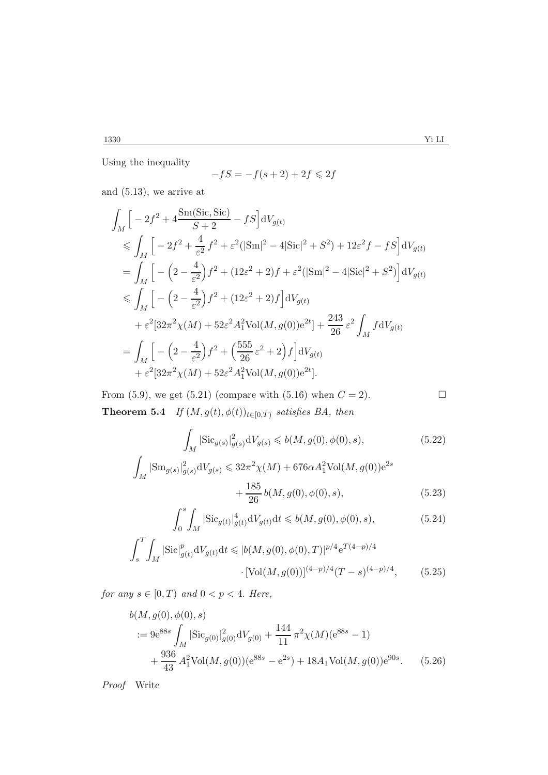Using the inequality

$$
-fS = -f(s+2) + 2f \le 2f
$$

and (5.13), we arrive at

$$
\int_{M} \left[ -2f^{2} + 4 \frac{\text{Sm(Sic, Sic)}}{S+2} - fS \right] dV_{g(t)} \n\leq \int_{M} \left[ -2f^{2} + \frac{4}{\varepsilon^{2}} f^{2} + \varepsilon^{2} (|\text{Sm}|^{2} - 4|\text{Sic}|^{2} + S^{2}) + 12\varepsilon^{2} f - fS \right] dV_{g(t)} \n= \int_{M} \left[ -\left( 2 - \frac{4}{\varepsilon^{2}} \right) f^{2} + (12\varepsilon^{2} + 2) f + \varepsilon^{2} (|\text{Sm}|^{2} - 4|\text{Sic}|^{2} + S^{2}) \right] dV_{g(t)} \n\leq \int_{M} \left[ -\left( 2 - \frac{4}{\varepsilon^{2}} \right) f^{2} + (12\varepsilon^{2} + 2) f \right] dV_{g(t)} \n+ \varepsilon^{2} [32\pi^{2} \chi(M) + 52\varepsilon^{2} A_{1}^{2} \text{Vol}(M, g(0)) e^{2t}] + \frac{243}{26} \varepsilon^{2} \int_{M} f dV_{g(t)} \n= \int_{M} \left[ -\left( 2 - \frac{4}{\varepsilon^{2}} \right) f^{2} + \left( \frac{555}{26} \varepsilon^{2} + 2 \right) f \right] dV_{g(t)} \n+ \varepsilon^{2} [32\pi^{2} \chi(M) + 52\varepsilon^{2} A_{1}^{2} \text{Vol}(M, g(0)) e^{2t}].
$$

From (5.9), we get (5.21) (compare with (5.16) when  $C = 2$ ). **Theorem 5.4** *If*  $(M, g(t), \phi(t))_{t \in [0,T)}$  *satisfies BA, then* 

$$
\int_{M} |\text{Sic}_{g(s)}|_{g(s)}^{2} dV_{g(s)} \leq b(M, g(0), \phi(0), s),
$$
\n(5.22)\n
$$
\int_{M} |\text{Sm}_{g(s)}|_{g(s)}^{2} dV_{g(s)} \leq 32\pi^{2} \chi(M) + 676\alpha A_{1}^{2} \text{Vol}(M, g(0))e^{2s} + \frac{185}{26} b(M, g(0), \phi(0), s),
$$
\n(5.23)

$$
\int_{0}^{s} \int_{M} |\text{Sic}_{g(t)}|_{g(t)}^{4} dV_{g(t)} dt \leq b(M, g(0), \phi(0), s),
$$
\n(5.24)

$$
\int_{s}^{T} \int_{M} |\text{Sic}|_{g(t)}^{p} dV_{g(t)} dt \leqslant |b(M, g(0), \phi(0), T)|^{p/4} e^{T(4-p)/4}
$$

$$
\cdot [\text{Vol}(M, g(0))]^{(4-p)/4} (T-s)^{(4-p)/4}, \qquad (5.25)
$$

*for any*  $s \in [0, T)$  *and*  $0 < p < 4$ *. Here,* 

$$
b(M, g(0), \phi(0), s)
$$
  
 :=  $9e^{88s} \int_M |\text{Sic}_{g(0)}|^2_{g(0)} dV_{g(0)} + \frac{144}{11} \pi^2 \chi(M)(e^{88s} - 1)$   
  $+ \frac{936}{43} A_1^2 \text{Vol}(M, g(0))(e^{88s} - e^{2s}) + 18A_1 \text{Vol}(M, g(0))e^{90s}.$  (5.26)

*Proof* Write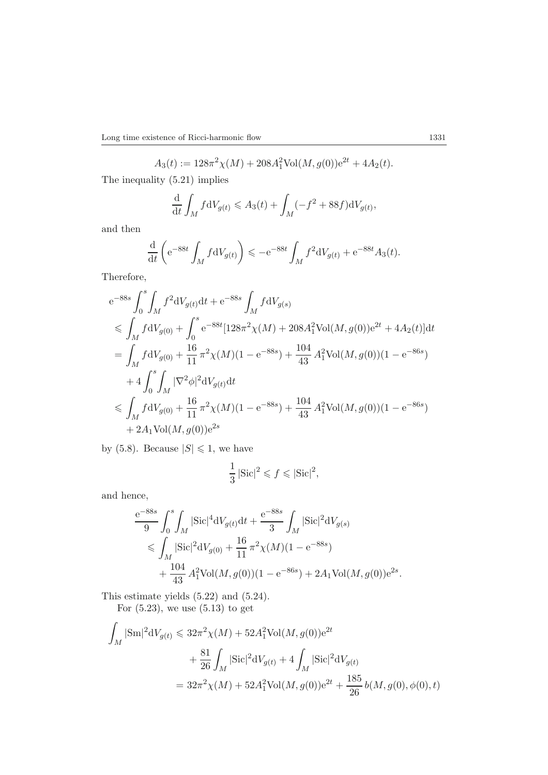$$
A_3(t) := 128\pi^2 \chi(M) + 208A_1^2 \text{Vol}(M, g(0))e^{2t} + 4A_2(t).
$$

The inequality (5.21) implies

$$
\frac{\mathrm{d}}{\mathrm{d}t} \int_M f \mathrm{d}V_{g(t)} \leqslant A_3(t) + \int_M (-f^2 + 88f) \mathrm{d}V_{g(t)},
$$

and then

$$
\frac{\mathrm{d}}{\mathrm{d}t}\left(\mathrm{e}^{-88t}\int_M f \mathrm{d}V_{g(t)}\right) \leqslant -\mathrm{e}^{-88t}\int_M f^2 \mathrm{d}V_{g(t)} + \mathrm{e}^{-88t}A_3(t).
$$

Therefore,

$$
e^{-88s} \int_0^s \int_M f^2 dV_{g(t)} dt + e^{-88s} \int_M f dV_{g(s)}
$$
  
\n
$$
\leq \int_M f dV_{g(0)} + \int_0^s e^{-88t} [128\pi^2 \chi(M) + 208A_1^2 Vol(M, g(0)) e^{2t} + 4A_2(t)] dt
$$
  
\n
$$
= \int_M f dV_{g(0)} + \frac{16}{11} \pi^2 \chi(M) (1 - e^{-88s}) + \frac{104}{43} A_1^2 Vol(M, g(0)) (1 - e^{-86s})
$$
  
\n
$$
+ 4 \int_0^s \int_M |\nabla^2 \phi|^2 dV_{g(t)} dt
$$
  
\n
$$
\leq \int_M f dV_{g(0)} + \frac{16}{11} \pi^2 \chi(M) (1 - e^{-88s}) + \frac{104}{43} A_1^2 Vol(M, g(0)) (1 - e^{-86s})
$$
  
\n
$$
+ 2A_1 Vol(M, g(0)) e^{2s}
$$

by (5.8). Because  $|S| \leq 1$ , we have

$$
\frac{1}{3} |{\rm Sic}|^2 \leqslant f \leqslant |{\rm Sic}|^2,
$$

and hence,

$$
\frac{e^{-88s}}{9} \int_0^s \int_M |\text{Sic}|^4 \text{d}V_{g(t)} \text{d}t + \frac{e^{-88s}}{3} \int_M |\text{Sic}|^2 \text{d}V_{g(s)}\n\leq \int_M |\text{Sic}|^2 \text{d}V_{g(0)} + \frac{16}{11} \pi^2 \chi(M)(1 - e^{-88s})\n+ \frac{104}{43} A_1^2 \text{Vol}(M, g(0))(1 - e^{-86s}) + 2A_1 \text{Vol}(M, g(0))e^{2s}.
$$

This estimate yields (5.22) and (5.24).

For  $(5.23)$ , we use  $(5.13)$  to get

$$
\int_{M} |\text{Sm}|^{2} \text{d}V_{g(t)} \leq 32\pi^{2} \chi(M) + 52A_{1}^{2} \text{Vol}(M, g(0))e^{2t} \n+ \frac{81}{26} \int_{M} |\text{Sic}|^{2} \text{d}V_{g(t)} + 4 \int_{M} |\text{Sic}|^{2} \text{d}V_{g(t)} \n= 32\pi^{2} \chi(M) + 52A_{1}^{2} \text{Vol}(M, g(0))e^{2t} + \frac{185}{26} b(M, g(0), \phi(0), t)
$$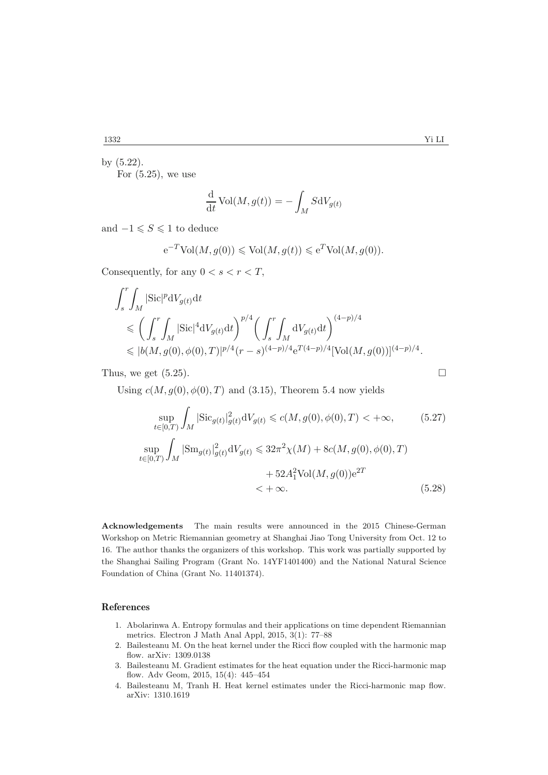by (5.22). For  $(5.25)$ , we use

$$
\frac{\mathrm{d}}{\mathrm{d}t}\,\mathrm{Vol}(M,g(t)) = -\int_M S \mathrm{d}V_{g(t)}
$$

and  $-1 \leqslant S \leqslant 1$  to deduce

$$
e^{-T}\text{Vol}(M, g(0)) \leq \text{Vol}(M, g(t)) \leq e^{T}\text{Vol}(M, g(0)).
$$

Consequently, for any  $0 < s < r < T$ ,

$$
\int_{s}^{r} \int_{M} |\text{Sic}|^{p} dV_{g(t)} dt
$$
\n
$$
\leq \left( \int_{s}^{r} \int_{M} |\text{Sic}|^{4} dV_{g(t)} dt \right)^{p/4} \left( \int_{s}^{r} \int_{M} dV_{g(t)} dt \right)^{(4-p)/4}
$$
\n
$$
\leqslant |b(M, g(0), \phi(0), T)|^{p/4} (r - s)^{(4-p)/4} e^{T(4-p)/4} [\text{Vol}(M, g(0))]^{(4-p)/4}.
$$

Thus, we get  $(5.25)$ .

Using  $c(M, g(0), \phi(0), T)$  and (3.15), Theorem 5.4 now yields

$$
\sup_{t \in [0,T)} \int_M |\text{Sic}_{g(t)}|^2_{g(t)} \text{d}V_{g(t)} \le c(M, g(0), \phi(0), T) < +\infty,
$$
\n
$$
\sup_{t \in [0,T)} \int_M |\text{Sm}_{g(t)}|^2_{g(t)} \text{d}V_{g(t)} \le 32\pi^2 \chi(M) + 8c(M, g(0), \phi(0), T) \n+ 52A_1^2 \text{Vol}(M, g(0))e^{2T} < +\infty.
$$
\n(5.28)

**Acknowledgements** The main results were announced in the 2015 Chinese-German Workshop on Metric Riemannian geometry at Shanghai Jiao Tong University from Oct. 12 to 16. The author thanks the organizers of this workshop. This work was partially supported by the Shanghai Sailing Program (Grant No. 14YF1401400) and the National Natural Science Foundation of China (Grant No. 11401374).

#### **References**

- 1. Abolarinwa A. Entropy formulas and their applications on time dependent Riemannian metrics. Electron J Math Anal Appl, 2015, 3(1): 77–88
- 2. Bailesteanu M. On the heat kernel under the Ricci flow coupled with the harmonic map flow. arXiv: 1309.0138
- 3. Bailesteanu M. Gradient estimates for the heat equation under the Ricci-harmonic map flow. Adv Geom, 2015, 15(4): 445–454
- 4. Bailesteanu M, Tranh H. Heat kernel estimates under the Ricci-harmonic map flow. arXiv: 1310.1619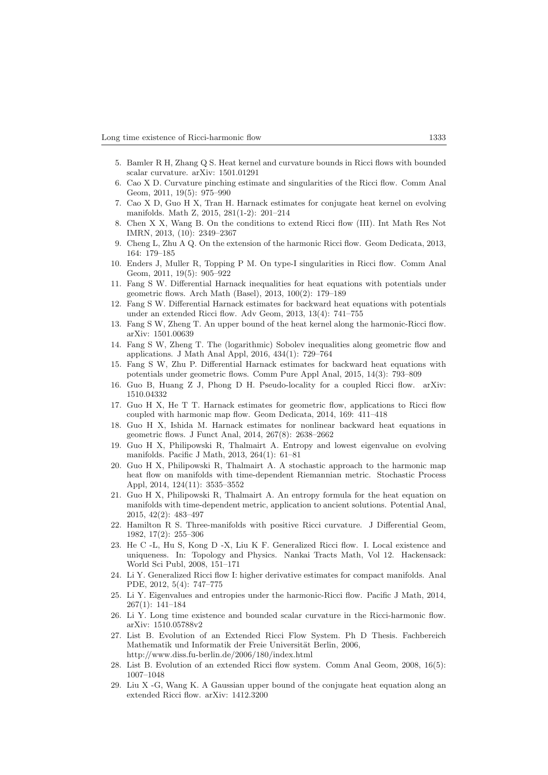- 5. Bamler R H, Zhang Q S. Heat kernel and curvature bounds in Ricci flows with bounded scalar curvature. arXiv: 1501.01291
- 6. Cao X D. Curvature pinching estimate and singularities of the Ricci flow. Comm Anal Geom, 2011, 19(5): 975–990
- 7. Cao X D, Guo H X, Tran H. Harnack estimates for conjugate heat kernel on evolving manifolds. Math Z, 2015, 281(1-2): 201–214
- 8. Chen X X, Wang B. On the conditions to extend Ricci flow (III). Int Math Res Not IMRN, 2013, (10): 2349–2367
- 9. Cheng L, Zhu A Q. On the extension of the harmonic Ricci flow. Geom Dedicata, 2013, 164: 179–185
- 10. Enders J, Muller R, Topping P M. On type-I singularities in Ricci flow. Comm Anal Geom, 2011, 19(5): 905–922
- 11. Fang S W. Differential Harnack inequalities for heat equations with potentials under geometric flows. Arch Math (Basel), 2013, 100(2): 179–189
- 12. Fang S W. Differential Harnack estimates for backward heat equations with potentials under an extended Ricci flow. Adv Geom, 2013, 13(4): 741–755
- 13. Fang S W, Zheng T. An upper bound of the heat kernel along the harmonic-Ricci flow. arXiv: 1501.00639
- 14. Fang S W, Zheng T. The (logarithmic) Sobolev inequalities along geometric flow and applications. J Math Anal Appl, 2016, 434(1): 729–764
- 15. Fang S W, Zhu P. Differential Harnack estimates for backward heat equations with potentials under geometric flows. Comm Pure Appl Anal, 2015, 14(3): 793–809
- 16. Guo B, Huang Z J, Phong D H. Pseudo-locality for a coupled Ricci flow. arXiv: 1510.04332
- 17. Guo H X, He T T. Harnack estimates for geometric flow, applications to Ricci flow coupled with harmonic map flow. Geom Dedicata, 2014, 169: 411–418
- 18. Guo H X, Ishida M. Harnack estimates for nonlinear backward heat equations in geometric flows. J Funct Anal, 2014, 267(8): 2638–2662
- 19. Guo H X, Philipowski R, Thalmairt A. Entropy and lowest eigenvalue on evolving manifolds. Pacific J Math, 2013, 264(1): 61–81
- 20. Guo H X, Philipowski R, Thalmairt A. A stochastic approach to the harmonic map heat flow on manifolds with time-dependent Riemannian metric. Stochastic Process Appl, 2014, 124(11): 3535–3552
- 21. Guo H X, Philipowski R, Thalmairt A. An entropy formula for the heat equation on manifolds with time-dependent metric, application to ancient solutions. Potential Anal, 2015, 42(2): 483–497
- 22. Hamilton R S. Three-manifolds with positive Ricci curvature. J Differential Geom, 1982, 17(2): 255–306
- 23. He C -L, Hu S, Kong D -X, Liu K F. Generalized Ricci flow. I. Local existence and uniqueness. In: Topology and Physics. Nankai Tracts Math, Vol 12. Hackensack: World Sci Publ, 2008, 151–171
- 24. Li Y. Generalized Ricci flow I: higher derivative estimates for compact manifolds. Anal PDE, 2012, 5(4): 747–775
- 25. Li Y. Eigenvalues and entropies under the harmonic-Ricci flow. Pacific J Math, 2014, 267(1): 141–184
- 26. Li Y. Long time existence and bounded scalar curvature in the Ricci-harmonic flow. arXiv: 1510.05788v2
- 27. List B. Evolution of an Extended Ricci Flow System. Ph D Thesis. Fachbereich Mathematik und Informatik der Freie Universität Berlin, 2006, http://www.diss.fu-berlin.de/2006/180/index.html
- 28. List B. Evolution of an extended Ricci flow system. Comm Anal Geom, 2008, 16(5): 1007–1048
- 29. Liu X -G, Wang K. A Gaussian upper bound of the conjugate heat equation along an extended Ricci flow. arXiv: 1412.3200